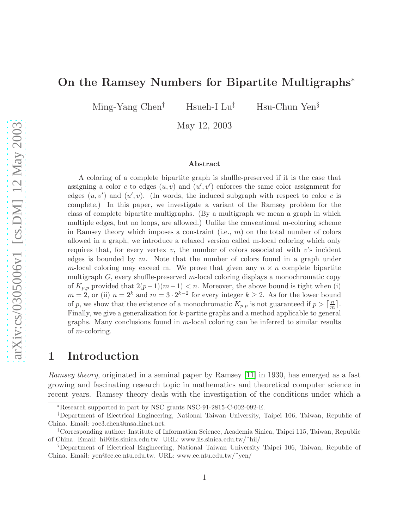# On the Ramsey Numbers for Bipartite Multigraphs<sup>∗</sup>

Ming-Yang Chen<sup>†</sup> Hsueh-I Lu<sup>‡</sup> Hsu-Chun Yen<sup>§</sup>

May 12, 2003

#### Abstract

A coloring of a complete bipartite graph is shuffle-preserved if it is the case that assigning a color c to edges  $(u, v)$  and  $(u', v')$  enforces the same color assignment for edges  $(u, v')$  and  $(u', v)$ . (In words, the induced subgraph with respect to color c is complete.) In this paper, we investigate a variant of the Ramsey problem for the class of complete bipartite multigraphs. (By a multigraph we mean a graph in which multiple edges, but no loops, are allowed.) Unlike the conventional m-coloring scheme in Ramsey theory which imposes a constraint (i.e.,  $m$ ) on the total number of colors allowed in a graph, we introduce a relaxed version called m-local coloring which only requires that, for every vertex  $v$ , the number of colors associated with  $v$ 's incident edges is bounded by  $m$ . Note that the number of colors found in a graph under m-local coloring may exceed m. We prove that given any  $n \times n$  complete bipartite multigraph  $G$ , every shuffle-preserved m-local coloring displays a monochromatic copy of  $K_{p,p}$  provided that  $2(p-1)(m-1) < n$ . Moreover, the above bound is tight when (i)  $m = 2$ , or (ii)  $n = 2^k$  and  $m = 3 \cdot 2^{k-2}$  for every integer  $k \geq 2$ . As for the lower bound of p, we show that the existence of a monochromatic  $K_{p,p}$  is not guaranteed if  $p > \lceil \frac{n}{m} \rceil$  $\frac{n}{m}$ . Finally, we give a generalization for k-partite graphs and a method applicable to general graphs. Many conclusions found in  $m$ -local coloring can be inferred to similar results of m-coloring.

# <span id="page-0-0"></span>1 Introduction

Ramsey theory, originated in a seminal paper by Ramsey [\[11\]](#page-9-0) in 1930, has emerged as a fast growing and fascinating research topic in mathematics and theoretical computer science in recent years. Ramsey theory deals with the investigation of the conditions under which a

<sup>∗</sup>Research supported in part by NSC grants NSC-91-2815-C-002-092-E.

<sup>†</sup>Department of Electrical Engineering, National Taiwan University, Taipei 106, Taiwan, Republic of China. Email: roc3.chen@msa.hinet.net.

<sup>‡</sup>Corresponding author: Institute of Information Science, Academia Sinica, Taipei 115, Taiwan, Republic of China. Email: hil@iis.sinica.edu.tw. URL: www.iis.sinica.edu.tw/˜hil/

<sup>§</sup>Department of Electrical Engineering, National Taiwan University Taipei 106, Taiwan, Republic of China. Email: yen@cc.ee.ntu.edu.tw. URL: www.ee.ntu.edu.tw/˜yen/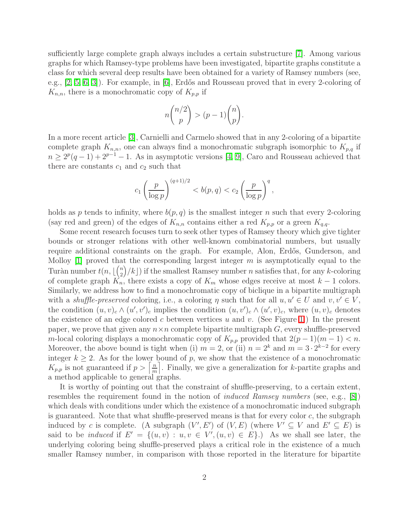sufficiently large complete graph always includes a certain substructure [\[7\]](#page-9-1). Among various graphs for which Ramsey-type problems have been investigated, bipartite graphs constitute a class for which several deep results have been obtained for a variety of Ramsey numbers (see, e.g., [\[2,](#page-9-2) [5,](#page-9-3) [6,](#page-9-4) [3\]](#page-9-5)). For example, in [\[6\]](#page-9-4), Erdős and Rousseau proved that in every 2-coloring of  $K_{n,n}$ , there is a monochromatic copy of  $K_{p,p}$  if

$$
n\binom{n/2}{p} > (p-1)\binom{n}{p}.
$$

In a more recent article [\[3\]](#page-9-5), Carnielli and Carmelo showed that in any 2-coloring of a bipartite complete graph  $K_{n,n}$ , one can always find a monochromatic subgraph isomorphic to  $K_{p,q}$  if  $n \geq 2^p(q-1) + 2^{p-1} - 1$ . As in asymptotic versions [\[4,](#page-9-6) [9\]](#page-9-7), Caro and Rousseau achieved that there are constants  $c_1$  and  $c_2$  such that

$$
c_1 \left(\frac{p}{\log p}\right)^{(q+1)/2} < b(p,q) < c_2 \left(\frac{p}{\log p}\right)^q,
$$

holds as p tends to infinity, where  $b(p, q)$  is the smallest integer n such that every 2-coloring (say red and green) of the edges of  $K_{n,n}$  contains either a red  $K_{p,p}$  or a green  $K_{q,q}$ .

Some recent research focuses turn to seek other types of Ramsey theory which give tighter bounds or stronger relations with other well-known combinatorial numbers, but usually require additional constraints on the graph. For example, Alon, Erdős, Gunderson, and Molloy  $[1]$  proved that the corresponding largest integer m is asymptotically equal to the Turàn number  $t(n, \lfloor {n \choose 2} \rfloor)$  $\binom{n}{2}/k$ ) if the smallest Ramsey number *n* satisfies that, for any *k*-coloring of complete graph  $K_n$ , there exists a copy of  $K_m$  whose edges receive at most  $k-1$  colors. Similarly, we address how to find a monochromatic copy of biclique in a bipartite multigraph with a shuffle-preserved coloring, i.e., a coloring  $\eta$  such that for all  $u, u' \in U$  and  $v, v' \in V$ . the condition  $(u, v)_c \wedge (u', v')_c$  implies the condition  $(u, v')_c \wedge (u', v)_c$ , where  $(u, v)_c$  denotes the existence of an edge colored c between vertices u and v. (See Figure [1.](#page-0-0)) In the present paper, we prove that given any  $n \times n$  complete bipartite multigraph G, every shuffle-preserved m-local coloring displays a monochromatic copy of  $K_{p,p}$  provided that  $2(p-1)(m-1) < n$ . Moreover, the above bound is tight when (i)  $m = 2$ , or (ii)  $n = 2<sup>k</sup>$  and  $m = 3 \cdot 2<sup>k-2</sup>$  for every integer  $k \geq 2$ . As for the lower bound of p, we show that the existence of a monochromatic  $K_{p,p}$  is not guaranteed if  $p > \left\lceil \frac{n}{m} \right\rceil$  $\left\lfloor \frac{n}{m} \right\rfloor$ . Finally, we give a generalization for k-partite graphs and a method applicable to general graphs.

It is worthy of pointing out that the constraint of shuffle-preserving, to a certain extent, resembles the requirement found in the notion of *induced Ramsey numbers* (see, e.g., [\[8\]](#page-9-9)) which deals with conditions under which the existence of a monochromatic induced subgraph is guaranteed. Note that what shuffle-preserved means is that for every color  $c$ , the subgraph induced by c is complete. (A subgraph  $(V', E')$  of  $(V, E)$  (where  $V' \subseteq V$  and  $E' \subseteq E$ ) is said to be *induced* if  $E' = \{(u, v) : u, v \in V', (u, v) \in E\}$ . As we shall see later, the underlying coloring being shuffle-preserved plays a critical role in the existence of a much smaller Ramsey number, in comparison with those reported in the literature for bipartite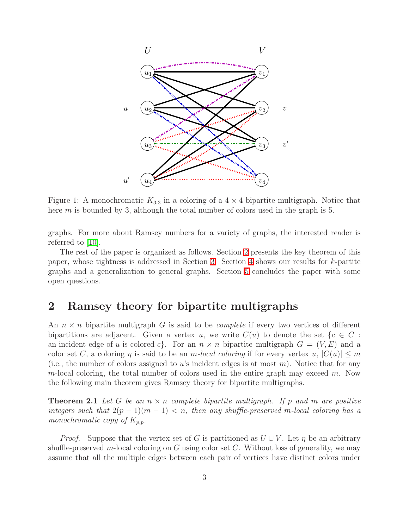

Figure 1: A monochromatic  $K_{3,3}$  in a coloring of a  $4 \times 4$  bipartite multigraph. Notice that here  $m$  is bounded by 3, although the total number of colors used in the graph is 5.

graphs. For more about Ramsey numbers for a variety of graphs, the interested reader is referred to [\[10\]](#page-9-10).

The rest of the paper is organized as follows. Section [2](#page-2-0) presents the key theorem of this paper, whose tightness is addressed in Section [3.](#page-4-0) Section [4](#page-7-0) shows our results for k-partite graphs and a generalization to general graphs. Section [5](#page-8-0) concludes the paper with some open questions.

### <span id="page-2-0"></span>2 Ramsey theory for bipartite multigraphs

An  $n \times n$  bipartite multigraph G is said to be *complete* if every two vertices of different bipartitions are adjacent. Given a vertex u, we write  $C(u)$  to denote the set  $\{c \in C :$ an incident edge of u is colored c. For an  $n \times n$  bipartite multigraph  $G = (V, E)$  and a color set C, a coloring  $\eta$  is said to be an m-local coloring if for every vertex  $u, |C(u)| \leq m$ (i.e., the number of colors assigned to u's incident edges is at most  $m$ ). Notice that for any m-local coloring, the total number of colors used in the entire graph may exceed  $m$ . Now the following main theorem gives Ramsey theory for bipartite multigraphs.

<span id="page-2-1"></span>**Theorem 2.1** Let G be an  $n \times n$  complete bipartite multigraph. If p and m are positive integers such that  $2(p-1)(m-1) < n$ , then any shuffle-preserved m-local coloring has a monochromatic copy of  $K_{p,p}$ .

*Proof.* Suppose that the vertex set of G is partitioned as  $U \cup V$ . Let  $\eta$  be an arbitrary shuffle-preserved m-local coloring on G using color set  $C$ . Without loss of generality, we may assume that all the multiple edges between each pair of vertices have distinct colors under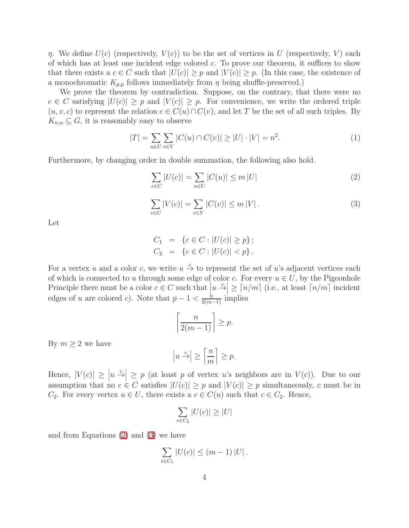η. We define  $U(c)$  (respectively,  $V(c)$ ) to be the set of vertices in U (respectively, V) each of which has at least one incident edge colored  $c$ . To prove our theorem, it suffices to show that there exists a  $c \in C$  such that  $|U(c)| \geq p$  and  $|V(c)| \geq p$ . (In this case, the existence of a monochromatic  $K_{p,p}$  follows immediately from  $\eta$  being shuffle-preserved.)

<span id="page-3-2"></span>We prove the theorem by contradiction. Suppose, on the contrary, that there were no  $c \in C$  satisfying  $|U(c)| \geq p$  and  $|V(c)| \geq p$ . For convenience, we write the ordered triple  $(u, v, c)$  to represent the relation  $c \in C(u) \cap C(v)$ , and let T be the set of all such triples. By  $K_{n,n} \subseteq G$ , it is reasonably easy to observe

<span id="page-3-0"></span>
$$
|T| = \sum_{u \in U} \sum_{v \in V} |C(u) \cap C(v)| \ge |U| \cdot |V| = n^2.
$$
 (1)

Furthermore, by changing order in double summation, the following also hold.

$$
\sum_{c \in C} |U(c)| = \sum_{u \in U} |C(u)| \le m |U| \tag{2}
$$

<span id="page-3-1"></span>
$$
\sum_{c \in C} |V(c)| = \sum_{v \in V} |C(v)| \le m |V|.
$$
 (3)

Let

$$
C_1 = \{c \in C : |U(c)| \ge p\};
$$
  
\n
$$
C_2 = \{c \in C : |U(c)| < p\}.
$$

For a vertex u and a color c, we write  $u \stackrel{c}{\rightarrow}$  to represent the set of u's adjacent vertices each of which is connected to u through some edge of color c. For every  $u \in U$ , by the Pigeonhole Principle there must be a color  $c \in C$  such that  $|u \stackrel{c}{\rightarrow}| \geq \lceil n/m \rceil$  (i.e., at least  $\lceil n/m \rceil$  incident edges of u are colored c). Note that  $p-1 < \frac{n}{2(m-1)}$  implies

$$
\left\lceil \frac{n}{2(m-1)} \right\rceil \ge p.
$$

By  $m \geq 2$  we have

$$
\left| u \stackrel{c}{\rightarrow} \right| \ge \left\lceil \frac{n}{m} \right\rceil \ge p.
$$

Hence,  $|V(c)| \ge |u|^{\frac{c}{2}} \ge p$  (at least p of vertex u's neighbors are in  $V(c)$ ). Due to our assumption that no  $c \in C$  satisfies  $|U(c)| \geq p$  and  $|V(c)| \geq p$  simultaneously, c must be in  $C_2$ . For every vertex  $u \in U$ , there exists a  $c \in C(u)$  such that  $c \in C_2$ . Hence,

$$
\sum_{c \in C_2} |U(c)| \ge |U|
$$

and from Equations [\(2\)](#page-3-0) and [\(3\)](#page-3-1) we have

$$
\sum_{c \in C_1} |U(c)| \le (m-1) |U|.
$$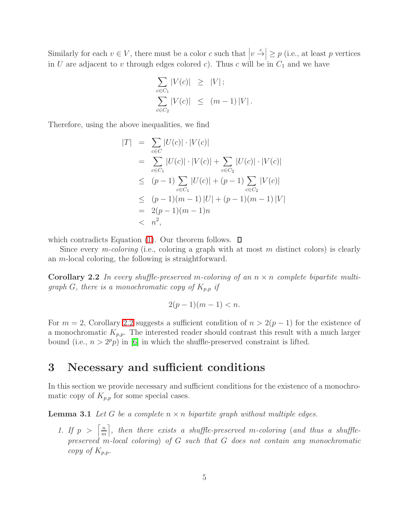Similarly for each  $v \in V$ , there must be a color c such that  $|v \stackrel{c}{\rightarrow}| \geq p$  (i.e., at least p vertices in  $U$  are adjacent to  $v$  through edges colored  $c$ ). Thus  $c$  will be in  $C_1$  and we have

$$
\sum_{c \in C_1} |V(c)| \ge |V| \, ;
$$
\n
$$
\sum_{c \in C_2} |V(c)| \le (m-1)|V| \, .
$$

Therefore, using the above inequalities, we find

$$
|T| = \sum_{c \in C} |U(c)| \cdot |V(c)|
$$
  
\n
$$
= \sum_{c \in C_1} |U(c)| \cdot |V(c)| + \sum_{c \in C_2} |U(c)| \cdot |V(c)|
$$
  
\n
$$
\leq (p-1) \sum_{c \in C_1} |U(c)| + (p-1) \sum_{c \in C_2} |V(c)|
$$
  
\n
$$
\leq (p-1)(m-1) |U| + (p-1)(m-1) |V|
$$
  
\n
$$
= 2(p-1)(m-1)n
$$
  
\n
$$
< n2,
$$

which contradicts Equation [\(1\)](#page-3-2). Our theorem follows.  $\square$ 

<span id="page-4-1"></span>Since every *m-coloring* (i.e., coloring a graph with at most m distinct colors) is clearly an m-local coloring, the following is straightforward.

**Corollary 2.2** In every shuffle-preserved m-coloring of an  $n \times n$  complete bipartite multigraph G, there is a monochromatic copy of  $K_{p,p}$  if

$$
2(p-1)(m-1) < n.
$$

For  $m = 2$ , Corollary [2.2](#page-4-1) suggests a sufficient condition of  $n > 2(p-1)$  for the existence of a monochromatic  $K_{p,p}$ . The interested reader should contrast this result with a much larger bound (i.e.,  $n > 2^p p$ ) in [\[6\]](#page-9-4) in which the shuffle-preserved constraint is lifted.

#### <span id="page-4-0"></span>3 Necessary and sufficient conditions

<span id="page-4-2"></span>In this section we provide necessary and sufficient conditions for the existence of a monochromatic copy of  $K_{p,p}$  for some special cases.

**Lemma 3.1** Let G be a complete  $n \times n$  bipartite graph without multiple edges.

1. If  $p > \left\lceil \frac{n}{m} \right\rceil$  $\left\lceil \frac{n}{m} \right\rceil$ , then there exists a shuffle-preserved m-coloring (and thus a shufflepreserved m-local coloring) of G such that G does not contain any monochromatic copy of  $K_{p,p}$ .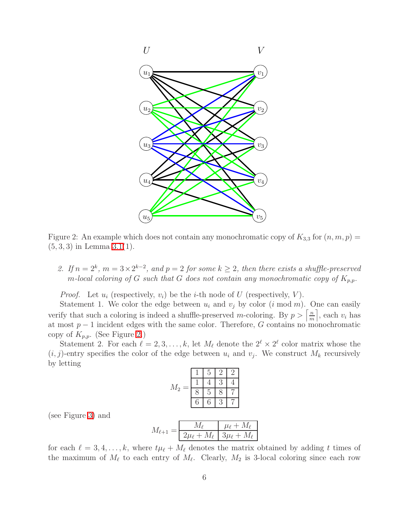

<span id="page-5-0"></span>Figure 2: An example which does not contain any monochromatic copy of  $K_{3,3}$  for  $(n, m, p)$  =  $(5, 3, 3)$  in Lemma  $3.1(1)$ .

2. If  $n = 2^k$ ,  $m = 3 \times 2^{k-2}$ , and  $p = 2$  for some  $k \geq 2$ , then there exists a shuffle-preserved m-local coloring of G such that G does not contain any monochromatic copy of  $K_{p,p}$ .

*Proof.* Let  $u_i$  (respectively,  $v_i$ ) be the *i*-th node of U (respectively, V).

Statement 1. We color the edge between  $u_i$  and  $v_j$  by color  $(i \mod m)$ . One can easily verify that such a coloring is indeed a shuffle-preserved m-coloring. By  $p > \left\lceil \frac{n}{m} \right\rceil$  $\left\lfloor \frac{n}{m} \right\rfloor$ , each  $v_i$  has at most  $p-1$  incident edges with the same color. Therefore, G contains no monochromatic copy of  $K_{p,p}$ . (See Figure [2.](#page-5-0))

Statement 2. For each  $\ell = 2, 3, ..., k$ , let  $M_{\ell}$  denote the  $2^{\ell} \times 2^{\ell}$  color matrix whose the  $(i, j)$ -entry specifies the color of the edge between  $u_i$  and  $v_j$ . We construct  $M_k$  recursively by letting

| $M_2$<br>- |   | 5 |  |
|------------|---|---|--|
|            |   |   |  |
|            |   | h |  |
|            | 6 | 6 |  |

(see Figure [3\)](#page-6-0) and

$$
M_{\ell+1} = \boxed{\frac{M_{\ell}}{2\mu_{\ell} + M_{\ell}} \boxed{\frac{\mu_{\ell} + M_{\ell}}{3\mu_{\ell} + M_{\ell}}}}
$$

for each  $\ell = 3, 4, \ldots, k$ , where  $t\mu_{\ell} + M_{\ell}$  denotes the matrix obtained by adding t times of the maximum of  $M_{\ell}$  to each entry of  $M_{\ell}$ . Clearly,  $M_2$  is 3-local coloring since each row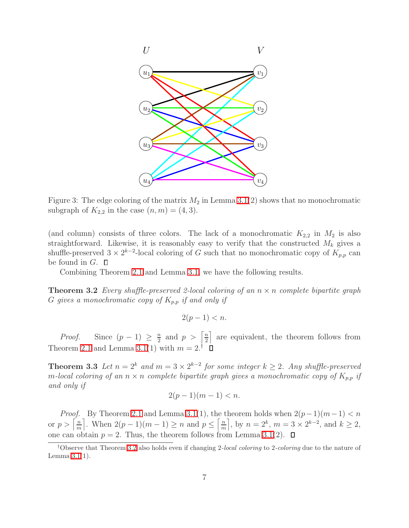

<span id="page-6-0"></span>Figure 3: The edge coloring of the matrix  $M_2$  in Lemma [3.1\(](#page-4-2)2) shows that no monochromatic subgraph of  $K_{2,2}$  in the case  $(n, m) = (4, 3)$ .

(and column) consists of three colors. The lack of a monochromatic  $K_{2,2}$  in  $M_2$  is also straightforward. Likewise, it is reasonably easy to verify that the constructed  $M_k$  gives a shuffle-preserved  $3 \times 2^{k-2}$ -local coloring of G such that no monochromatic copy of  $K_{p,p}$  can be found in  $G$ .  $\square$ 

Combining Theorem [2.1](#page-2-1) and Lemma [3.1,](#page-4-2) we have the following results.

<span id="page-6-1"></span>**Theorem 3.2** Every shuffle-preserved 2-local coloring of an  $n \times n$  complete bipartite graph G gives a monochromatic copy of  $K_{p,p}$  if and only if

$$
2(p-1) < n.
$$

*Proof.* Since  $(p-1) \geq \frac{n}{2}$  $\frac{n}{2}$  and  $p > \left\lceil \frac{n}{2} \right\rceil$  $\frac{n}{2}$  are equivalent, the theorem follows from Theorem [2.1](#page-2-1) and Lemma [3.1\(](#page-4-2)1) with  $m = 2^{\dagger}$ 

**Theorem 3.3** Let  $n = 2^k$  and  $m = 3 \times 2^{k-2}$  for some integer  $k \geq 2$ . Any shuffle-preserved m-local coloring of an  $n \times n$  complete bipartite graph gives a monochromatic copy of  $K_{p,p}$  if and only if

$$
2(p-1)(m-1) < n.
$$

*Proof.* By Theorem [2.1](#page-2-1) and Lemma [3.1\(](#page-4-2)1), the theorem holds when  $2(p-1)(m-1) < n$ or  $p > \left\lceil \frac{n}{m} \right\rceil$  $\left\lfloor \frac{m}{m} \right\rfloor$ . When  $2(p-1)(m-1) \geq n$  and  $p \leq \left\lfloor \frac{m}{m} \right\rfloor$  $\left[\frac{m}{m}\right]$ , by  $n = 2^k$ ,  $m = 3 \times 2^{k-2}$ , and  $k \ge 2$ , one can obtain  $p = 2$ . Thus, the theorem follows from Lemma [3.1\(](#page-4-2)2).  $\Box$ 

<sup>&</sup>lt;sup>†</sup>Observe that Theorem [3.2](#page-6-1) also holds even if changing 2-local coloring to 2-coloring due to the nature of Lemma  $3.1(1)$ .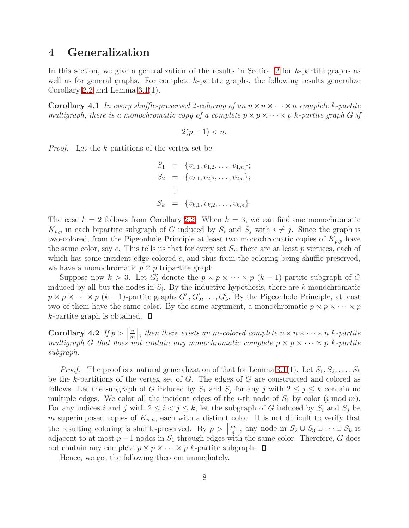### <span id="page-7-0"></span>4 Generalization

In this section, we give a generalization of the results in Section [2](#page-2-0) for  $k$ -partite graphs as well as for general graphs. For complete k-partite graphs, the following results generalize Corollary [2.2](#page-4-1) and Lemma [3.1\(](#page-4-2)1).

**Corollary 4.1** In every shuffle-preserved 2-coloring of an  $n \times n \times \cdots \times n$  complete k-partite multigraph, there is a monochromatic copy of a complete  $p \times p \times \cdots \times p$  k-partite graph G if

$$
2(p-1) < n.
$$

Proof. Let the k-partitions of the vertex set be

$$
S_1 = \{v_{1,1}, v_{1,2}, \dots, v_{1,n}\};
$$
  
\n
$$
S_2 = \{v_{2,1}, v_{2,2}, \dots, v_{2,n}\};
$$
  
\n
$$
\vdots
$$
  
\n
$$
S_k = \{v_{k,1}, v_{k,2}, \dots, v_{k,n}\}.
$$

The case  $k = 2$  follows from Corollary [2.2.](#page-4-1) When  $k = 3$ , we can find one monochromatic  $K_{p,p}$  in each bipartite subgraph of G induced by  $S_i$  and  $S_j$  with  $i \neq j$ . Since the graph is two-colored, from the Pigeonhole Principle at least two monochromatic copies of  $K_{p,p}$  have the same color, say c. This tells us that for every set  $S_i$ , there are at least p vertices, each of which has some incident edge colored  $c$ , and thus from the coloring being shuffle-preserved, we have a monochromatic  $p \times p$  tripartite graph.

Suppose now  $k > 3$ . Let  $G'_i$  denote the  $p \times p \times \cdots \times p$   $(k-1)$ -partite subgraph of G induced by all but the nodes in  $S_i$ . By the inductive hypothesis, there are k monochromatic  $p \times p \times \cdots \times p$  (k – 1)-partite graphs  $G'_1, G'_2, \ldots, G'_k$ . By the Pigeonhole Principle, at least two of them have the same color. By the same argument, a monochromatic  $p \times p \times \cdots \times p$  $k$ -partite graph is obtained.  $\square$ 

Corollary 4.2 If  $p > \left\lceil \frac{n}{m} \right\rceil$  $\left\lfloor \frac{n}{m} \right\rfloor$ , then there exists an m-colored complete  $n \times n \times \cdots \times n$  k-partite multigraph G that does not contain any monochromatic complete  $p \times p \times \cdots \times p$  k-partite subgraph.

*Proof.* The proof is a natural generalization of that for Lemma [3.1\(](#page-4-2)1). Let  $S_1, S_2, \ldots, S_k$ be the k-partitions of the vertex set of  $G$ . The edges of  $G$  are constructed and colored as follows. Let the subgraph of G induced by  $S_1$  and  $S_j$  for any j with  $2 \leq j \leq k$  contain no multiple edges. We color all the incident edges of the *i*-th node of  $S_1$  by color (*i* mod *m*). For any indices i and j with  $2 \leq i < j \leq k$ , let the subgraph of G induced by  $S_i$  and  $S_j$  be m superimposed copies of  $K_{n,n}$ , each with a distinct color. It is not difficult to verify that the resulting coloring is shuffle-preserved. By  $p > \left\lceil \frac{m}{n} \right\rceil$  $\left\lfloor \frac{m}{n} \right\rfloor$ , any node in  $S_2 \cup S_3 \cup \cdots \cup S_k$  is adjacent to at most  $p-1$  nodes in  $S_1$  through edges with the same color. Therefore, G does not contain any complete  $p \times p \times \cdots \times p$  k-partite subgraph.  $\Box$ 

Hence, we get the following theorem immediately.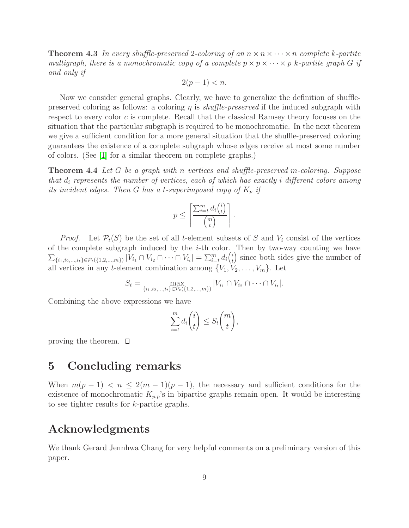**Theorem 4.3** In every shuffle-preserved 2-coloring of an  $n \times n \times \cdots \times n$  complete k-partite multigraph, there is a monochromatic copy of a complete  $p \times p \times \cdots \times p$  k-partite graph G if and only if

$$
2(p-1) < n.
$$

Now we consider general graphs. Clearly, we have to generalize the definition of shufflepreserved coloring as follows: a coloring  $\eta$  is *shuffle-preserved* if the induced subgraph with respect to every color c is complete. Recall that the classical Ramsey theory focuses on the situation that the particular subgraph is required to be monochromatic. In the next theorem we give a sufficient condition for a more general situation that the shuffle-preserved coloring guarantees the existence of a complete subgraph whose edges receive at most some number of colors. (See [\[1\]](#page-9-8) for a similar theorem on complete graphs.)

**Theorem 4.4** Let G be a graph with n vertices and shuffle-preserved m-coloring. Suppose that  $d_i$  represents the number of vertices, each of which has exactly i different colors among its incident edges. Then G has a t-superimposed copy of  $K_p$  if

$$
p \leq \left\lceil \frac{\sum_{i=t}^{m} d_i \binom{i}{t}}{\binom{m}{t}} \right\rceil.
$$

*Proof.* Let  $\mathcal{P}_t(S)$  be the set of all t-element subsets of S and  $V_i$  consist of the vertices of the complete subgraph induced by the  $i$ -th color. Then by two-way counting we have  $\sum_{\{i_1,i_2,...,i_t\} \in \mathcal{P}_t(\{1,2,...,m\})} |V_{i_1} \cap V_{i_2} \cap \cdots \cap V_{i_t}| = \sum_{i=t}^m d_i {i \choose t}$  $\left(\begin{matrix}i\\t\end{matrix}\right)$  since both sides give the number of all vertices in any t-element combination among  $\{V_1, V_2, \ldots, V_m\}$ . Let

$$
S_t = \max_{\{i_1, i_2, \dots, i_t\} \in \mathcal{P}_t(\{1, 2, \dots, m\})} |V_{i_1} \cap V_{i_2} \cap \dots \cap V_{i_t}|.
$$

Combining the above expressions we have

$$
\sum_{i=t}^{m} d_i \binom{i}{t} \leq S_t \binom{m}{t},
$$

<span id="page-8-0"></span>proving the theorem.

#### 5 Concluding remarks

When  $m(p-1) < n \leq 2(m-1)(p-1)$ , the necessary and sufficient conditions for the existence of monochromatic  $K_{p,p}$ 's in bipartite graphs remain open. It would be interesting to see tighter results for k-partite graphs.

# Acknowledgments

We thank Gerard Jennhwa Chang for very helpful comments on a preliminary version of this paper.